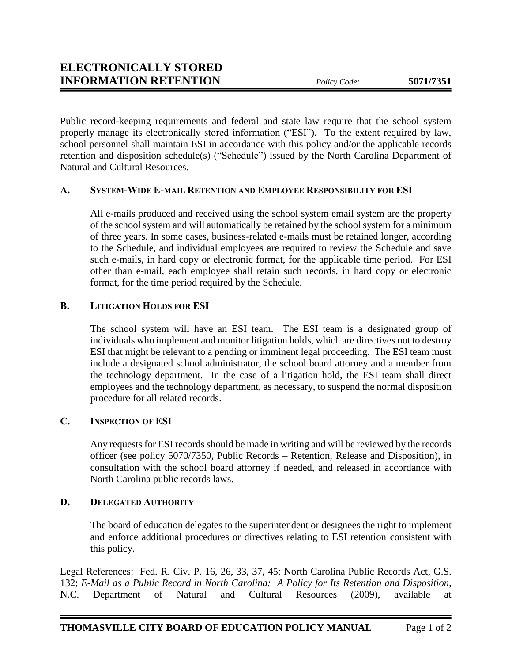Public record-keeping requirements and federal and state law require that the school system properly manage its electronically stored information ("ESI"). To the extent required by law, school personnel shall maintain ESI in accordance with this policy and/or the applicable records retention and disposition schedule(s) ("Schedule") issued by the North Carolina Department of Natural and Cultural Resources.

## **A. SYSTEM-WIDE E-MAIL RETENTION AND EMPLOYEE RESPONSIBILITY FOR ESI**

All e-mails produced and received using the school system email system are the property of the school system and will automatically be retained by the school system for a minimum of three years. In some cases, business-related e-mails must be retained longer, according to the Schedule, and individual employees are required to review the Schedule and save such e-mails, in hard copy or electronic format, for the applicable time period. For ESI other than e-mail, each employee shall retain such records, in hard copy or electronic format, for the time period required by the Schedule.

## **B. LITIGATION HOLDS FOR ESI**

The school system will have an ESI team. The ESI team is a designated group of individuals who implement and monitor litigation holds, which are directives not to destroy ESI that might be relevant to a pending or imminent legal proceeding. The ESI team must include a designated school administrator, the school board attorney and a member from the technology department. In the case of a litigation hold, the ESI team shall direct employees and the technology department, as necessary, to suspend the normal disposition procedure for all related records.

## **C. INSPECTION OF ESI**

Any requests for ESI records should be made in writing and will be reviewed by the records officer (see policy 5070/7350, Public Records – Retention, Release and Disposition), in consultation with the school board attorney if needed, and released in accordance with North Carolina public records laws.

## **D. DELEGATED AUTHORITY**

The board of education delegates to the superintendent or designees the right to implement and enforce additional procedures or directives relating to ESI retention consistent with this policy.

Legal References: Fed. R. Civ. P. 16, 26, 33, 37, 45; North Carolina Public Records Act, G.S. 132; *E-Mail as a Public Record in North Carolina: A Policy for Its Retention and Disposition*, N.C. Department of Natural and Cultural Resources (2009), available at